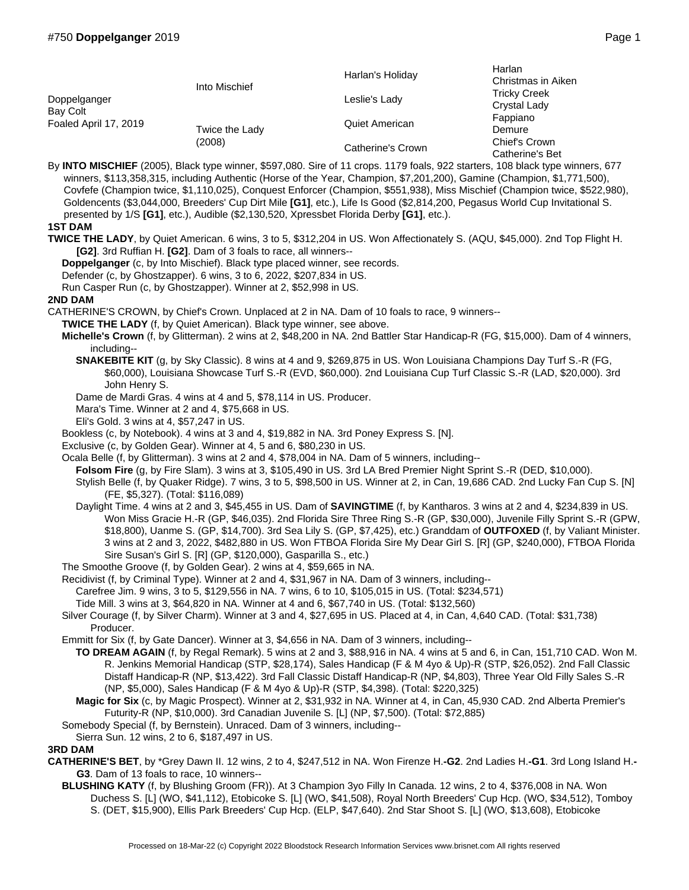| Doppelganger<br>Bay Colt<br>Foaled April 17, 2019 | Into Mischief            | Harlan's Holiday  | Harlan<br>Christmas in Aiken<br><b>Tricky Creek</b><br>Crystal Lady |
|---------------------------------------------------|--------------------------|-------------------|---------------------------------------------------------------------|
|                                                   |                          | Leslie's Lady     |                                                                     |
|                                                   | Twice the Lady<br>(2008) | Quiet American    | Fappiano<br>Demure                                                  |
|                                                   |                          | Catherine's Crown | Chief's Crown<br>Catherine's Bet                                    |

By **INTO MISCHIEF** (2005), Black type winner, \$597,080. Sire of 11 crops. 1179 foals, 922 starters, 108 black type winners, 677 winners, \$113,358,315, including Authentic (Horse of the Year, Champion, \$7,201,200), Gamine (Champion, \$1,771,500), Covfefe (Champion twice, \$1,110,025), Conquest Enforcer (Champion, \$551,938), Miss Mischief (Champion twice, \$522,980), Goldencents (\$3,044,000, Breeders' Cup Dirt Mile **[G1]**, etc.), Life Is Good (\$2,814,200, Pegasus World Cup Invitational S. presented by 1/S **[G1]**, etc.), Audible (\$2,130,520, Xpressbet Florida Derby **[G1]**, etc.).

## **1ST DAM**

**TWICE THE LADY**, by Quiet American. 6 wins, 3 to 5, \$312,204 in US. Won Affectionately S. (AQU, \$45,000). 2nd Top Flight H. **[G2]**. 3rd Ruffian H. **[G2]**. Dam of 3 foals to race, all winners--

**Doppelganger** (c, by Into Mischief). Black type placed winner, see records.

Defender (c, by Ghostzapper). 6 wins, 3 to 6, 2022, \$207,834 in US.

Run Casper Run (c, by Ghostzapper). Winner at 2, \$52,998 in US.

## **2ND DAM**

CATHERINE'S CROWN, by Chief's Crown. Unplaced at 2 in NA. Dam of 10 foals to race, 9 winners--

- **TWICE THE LADY** (f, by Quiet American). Black type winner, see above.
- **Michelle's Crown** (f, by Glitterman). 2 wins at 2, \$48,200 in NA. 2nd Battler Star Handicap-R (FG, \$15,000). Dam of 4 winners, including--
	- **SNAKEBITE KIT** (g, by Sky Classic). 8 wins at 4 and 9, \$269,875 in US. Won Louisiana Champions Day Turf S.-R (FG, \$60,000), Louisiana Showcase Turf S.-R (EVD, \$60,000). 2nd Louisiana Cup Turf Classic S.-R (LAD, \$20,000). 3rd John Henry S.
	- Dame de Mardi Gras. 4 wins at 4 and 5, \$78,114 in US. Producer.
	- Mara's Time. Winner at 2 and 4, \$75,668 in US.
	- Eli's Gold. 3 wins at 4, \$57,247 in US.

Bookless (c, by Notebook). 4 wins at 3 and 4, \$19,882 in NA. 3rd Poney Express S. [N].

- Exclusive (c, by Golden Gear). Winner at 4, 5 and 6, \$80,230 in US.
- Ocala Belle (f, by Glitterman). 3 wins at 2 and 4, \$78,004 in NA. Dam of 5 winners, including--
- **Folsom Fire** (g, by Fire Slam). 3 wins at 3, \$105,490 in US. 3rd LA Bred Premier Night Sprint S.-R (DED, \$10,000).
- Stylish Belle (f, by Quaker Ridge). 7 wins, 3 to 5, \$98,500 in US. Winner at 2, in Can, 19,686 CAD. 2nd Lucky Fan Cup S. [N] (FE, \$5,327). (Total: \$116,089)
- Daylight Time. 4 wins at 2 and 3, \$45,455 in US. Dam of **SAVINGTIME** (f, by Kantharos. 3 wins at 2 and 4, \$234,839 in US. Won Miss Gracie H.-R (GP, \$46,035). 2nd Florida Sire Three Ring S.-R (GP, \$30,000), Juvenile Filly Sprint S.-R (GPW, \$18,800), Uanme S. (GP, \$14,700). 3rd Sea Lily S. (GP, \$7,425), etc.) Granddam of **OUTFOXED** (f, by Valiant Minister. 3 wins at 2 and 3, 2022, \$482,880 in US. Won FTBOA Florida Sire My Dear Girl S. [R] (GP, \$240,000), FTBOA Florida Sire Susan's Girl S. [R] (GP, \$120,000), Gasparilla S., etc.)
- The Smoothe Groove (f, by Golden Gear). 2 wins at 4, \$59,665 in NA.
- Recidivist (f, by Criminal Type). Winner at 2 and 4, \$31,967 in NA. Dam of 3 winners, including--
- Carefree Jim. 9 wins, 3 to 5, \$129,556 in NA. 7 wins, 6 to 10, \$105,015 in US. (Total: \$234,571)
- Tide Mill. 3 wins at 3, \$64,820 in NA. Winner at 4 and 6, \$67,740 in US. (Total: \$132,560)
- Silver Courage (f, by Silver Charm). Winner at 3 and 4, \$27,695 in US. Placed at 4, in Can, 4,640 CAD. (Total: \$31,738) Producer.
- Emmitt for Six (f, by Gate Dancer). Winner at 3, \$4,656 in NA. Dam of 3 winners, including--
	- **TO DREAM AGAIN** (f, by Regal Remark). 5 wins at 2 and 3, \$88,916 in NA. 4 wins at 5 and 6, in Can, 151,710 CAD. Won M. R. Jenkins Memorial Handicap (STP, \$28,174), Sales Handicap (F & M 4yo & Up)-R (STP, \$26,052). 2nd Fall Classic Distaff Handicap-R (NP, \$13,422). 3rd Fall Classic Distaff Handicap-R (NP, \$4,803), Three Year Old Filly Sales S.-R (NP, \$5,000), Sales Handicap (F & M 4yo & Up)-R (STP, \$4,398). (Total: \$220,325)
	- **Magic for Six** (c, by Magic Prospect). Winner at 2, \$31,932 in NA. Winner at 4, in Can, 45,930 CAD. 2nd Alberta Premier's Futurity-R (NP, \$10,000). 3rd Canadian Juvenile S. [L] (NP, \$7,500). (Total: \$72,885)
- Somebody Special (f, by Bernstein). Unraced. Dam of 3 winners, including--
- Sierra Sun. 12 wins, 2 to 6, \$187,497 in US.

## **3RD DAM**

- **CATHERINE'S BET**, by \*Grey Dawn II. 12 wins, 2 to 4, \$247,512 in NA. Won Firenze H.**-G2**. 2nd Ladies H.**-G1**. 3rd Long Island H.**- G3**. Dam of 13 foals to race, 10 winners--
	- **BLUSHING KATY** (f, by Blushing Groom (FR)). At 3 Champion 3yo Filly In Canada. 12 wins, 2 to 4, \$376,008 in NA. Won Duchess S. [L] (WO, \$41,112), Etobicoke S. [L] (WO, \$41,508), Royal North Breeders' Cup Hcp. (WO, \$34,512), Tomboy S. (DET, \$15,900), Ellis Park Breeders' Cup Hcp. (ELP, \$47,640). 2nd Star Shoot S. [L] (WO, \$13,608), Etobicoke